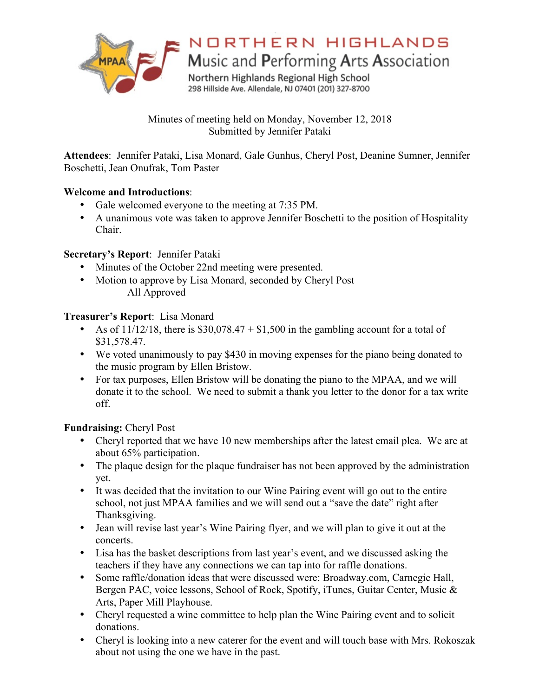

# NORTHERN HIGHLANDS

Music and Performing Arts Association

Northern Highlands Regional High School 298 Hillside Ave. Allendale, NJ 07401 (201) 327-8700

Minutes of meeting held on Monday, November 12, 2018 Submitted by Jennifer Pataki

**Attendees**: Jennifer Pataki, Lisa Monard, Gale Gunhus, Cheryl Post, Deanine Sumner, Jennifer Boschetti, Jean Onufrak, Tom Paster

## **Welcome and Introductions**:

- Gale welcomed everyone to the meeting at 7:35 PM.
- A unanimous vote was taken to approve Jennifer Boschetti to the position of Hospitality Chair.

## **Secretary's Report**: Jennifer Pataki

- Minutes of the October 22nd meeting were presented.
- Motion to approve by Lisa Monard, seconded by Cheryl Post – All Approved

## **Treasurer's Report**: Lisa Monard

- As of  $11/12/18$ , there is \$30,078.47 + \$1,500 in the gambling account for a total of \$31,578.47.
- We voted unanimously to pay \$430 in moving expenses for the piano being donated to the music program by Ellen Bristow.
- For tax purposes, Ellen Bristow will be donating the piano to the MPAA, and we will donate it to the school. We need to submit a thank you letter to the donor for a tax write off.

# **Fundraising:** Cheryl Post

- Cheryl reported that we have 10 new memberships after the latest email plea. We are at about 65% participation.
- The plaque design for the plaque fundraiser has not been approved by the administration yet.
- It was decided that the invitation to our Wine Pairing event will go out to the entire school, not just MPAA families and we will send out a "save the date" right after Thanksgiving.
- Jean will revise last year's Wine Pairing flyer, and we will plan to give it out at the concerts.
- Lisa has the basket descriptions from last year's event, and we discussed asking the teachers if they have any connections we can tap into for raffle donations.
- Some raffle/donation ideas that were discussed were: Broadway.com, Carnegie Hall, Bergen PAC, voice lessons, School of Rock, Spotify, iTunes, Guitar Center, Music & Arts, Paper Mill Playhouse.
- Cheryl requested a wine committee to help plan the Wine Pairing event and to solicit donations.
- Cheryl is looking into a new caterer for the event and will touch base with Mrs. Rokoszak about not using the one we have in the past.